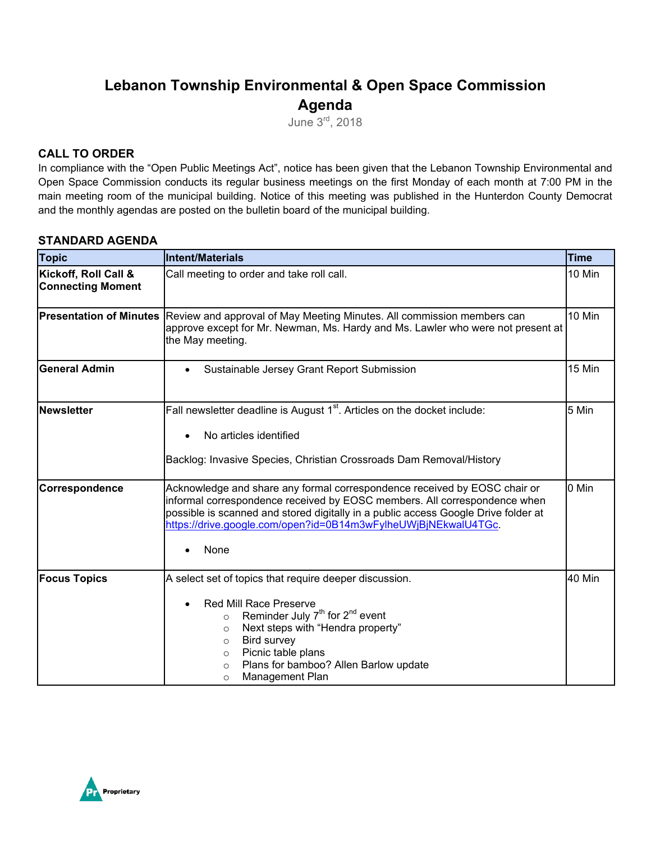# **Lebanon Township Environmental & Open Space Commission Agenda**

June 3rd, 2018

### **CALL TO ORDER**

In compliance with the "Open Public Meetings Act", notice has been given that the Lebanon Township Environmental and Open Space Commission conducts its regular business meetings on the first Monday of each month at 7:00 PM in the main meeting room of the municipal building. Notice of this meeting was published in the Hunterdon County Democrat and the monthly agendas are posted on the bulletin board of the municipal building.

#### **STANDARD AGENDA**

| <b>Topic</b>                                     | <b>Intent/Materials</b>                                                                                                                                                                                                                                                                                                                             | Time   |
|--------------------------------------------------|-----------------------------------------------------------------------------------------------------------------------------------------------------------------------------------------------------------------------------------------------------------------------------------------------------------------------------------------------------|--------|
| Kickoff, Roll Call &<br><b>Connecting Moment</b> | Call meeting to order and take roll call.                                                                                                                                                                                                                                                                                                           | 10 Min |
| <b>Presentation of Minutes</b>                   | Review and approval of May Meeting Minutes. All commission members can<br>approve except for Mr. Newman, Ms. Hardy and Ms. Lawler who were not present at<br>the May meeting.                                                                                                                                                                       | 10 Min |
| <b>General Admin</b>                             | Sustainable Jersey Grant Report Submission<br>$\bullet$                                                                                                                                                                                                                                                                                             | 15 Min |
| <b>Newsletter</b>                                | Fall newsletter deadline is August $1st$ . Articles on the docket include:<br>No articles identified<br>Backlog: Invasive Species, Christian Crossroads Dam Removal/History                                                                                                                                                                         | 5 Min  |
| Correspondence                                   | Acknowledge and share any formal correspondence received by EOSC chair or<br>informal correspondence received by EOSC members. All correspondence when<br>possible is scanned and stored digitally in a public access Google Drive folder at<br>https://drive.google.com/open?id=0B14m3wFylheUWjBjNEkwalU4TGc.<br>None                              | 0 Min  |
| <b>Focus Topics</b>                              | A select set of topics that require deeper discussion.<br><b>Red Mill Race Preserve</b><br>$\bullet$<br>Reminder July $7th$ for $2nd$ event<br>$\circ$<br>Next steps with "Hendra property"<br>$\circ$<br>Bird survey<br>$\circ$<br>Picnic table plans<br>$\circ$<br>Plans for bamboo? Allen Barlow update<br>$\circ$<br>Management Plan<br>$\circ$ | 40 Min |

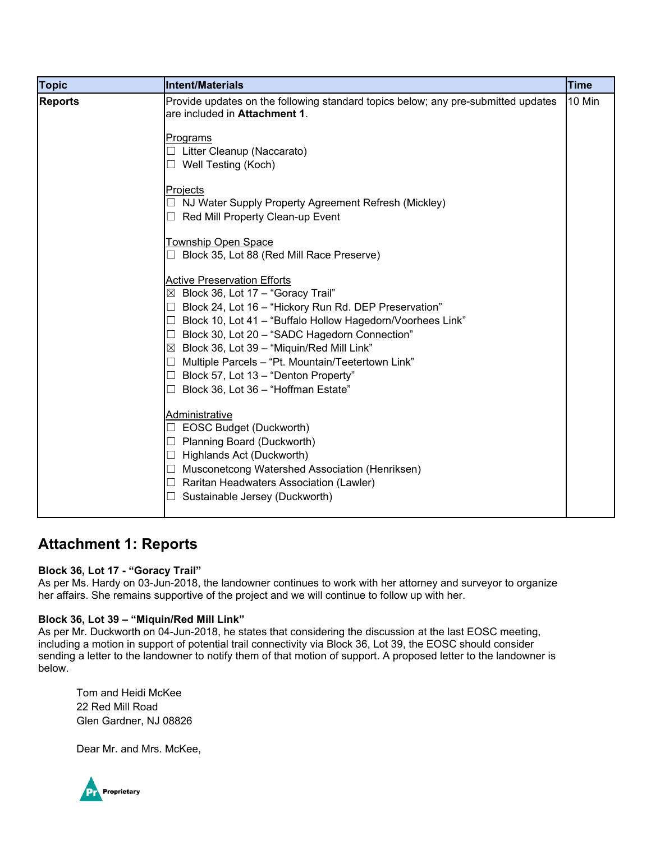| <b>Topic</b>   | Intent/Materials                                                                                                                                                                                                                                                                                                                                                                                                                                                                                 | <b>Time</b> |
|----------------|--------------------------------------------------------------------------------------------------------------------------------------------------------------------------------------------------------------------------------------------------------------------------------------------------------------------------------------------------------------------------------------------------------------------------------------------------------------------------------------------------|-------------|
| <b>Reports</b> | Provide updates on the following standard topics below; any pre-submitted updates<br>are included in Attachment 1.                                                                                                                                                                                                                                                                                                                                                                               | 10 Min      |
|                | <b>Programs</b><br>$\Box$ Litter Cleanup (Naccarato)<br>$\Box$ Well Testing (Koch)                                                                                                                                                                                                                                                                                                                                                                                                               |             |
|                | Projects<br>NJ Water Supply Property Agreement Refresh (Mickley)<br>$\Box$<br>Red Mill Property Clean-up Event<br>П                                                                                                                                                                                                                                                                                                                                                                              |             |
|                | Township Open Space<br>Block 35, Lot 88 (Red Mill Race Preserve)                                                                                                                                                                                                                                                                                                                                                                                                                                 |             |
|                | <b>Active Preservation Efforts</b><br>$\boxtimes$ Block 36, Lot 17 - "Goracy Trail"<br>Block 24, Lot 16 - "Hickory Run Rd. DEP Preservation"<br>□<br>Block 10, Lot 41 - "Buffalo Hollow Hagedorn/Voorhees Link"<br>□<br>Block 30, Lot 20 - "SADC Hagedorn Connection"<br>$\Box$<br>$\boxtimes$ Block 36, Lot 39 - "Miquin/Red Mill Link"<br>Multiple Parcels - "Pt. Mountain/Teetertown Link"<br>ப<br>Block 57, Lot 13 - "Denton Property"<br>$\Box$<br>Block 36, Lot 36 - "Hoffman Estate"<br>□ |             |
|                | Administrative<br><b>EOSC Budget (Duckworth)</b><br>Planning Board (Duckworth)<br>ш<br>Highlands Act (Duckworth)<br>$\Box$<br>Musconetcong Watershed Association (Henriksen)<br>⊔<br>Raritan Headwaters Association (Lawler)<br>ш<br>Sustainable Jersey (Duckworth)                                                                                                                                                                                                                              |             |

## **Attachment 1: Reports**

#### **Block 36, Lot 17 - "Goracy Trail"**

As per Ms. Hardy on 03-Jun-2018, the landowner continues to work with her attorney and surveyor to organize her affairs. She remains supportive of the project and we will continue to follow up with her.

#### **Block 36, Lot 39 – "Miquin/Red Mill Link"**

As per Mr. Duckworth on 04-Jun-2018, he states that considering the discussion at the last EOSC meeting, including a motion in support of potential trail connectivity via Block 36, Lot 39, the EOSC should consider sending a letter to the landowner to notify them of that motion of support. A proposed letter to the landowner is below.

Tom and Heidi McKee 22 Red Mill Road Glen Gardner, NJ 08826

Dear Mr. and Mrs. McKee,

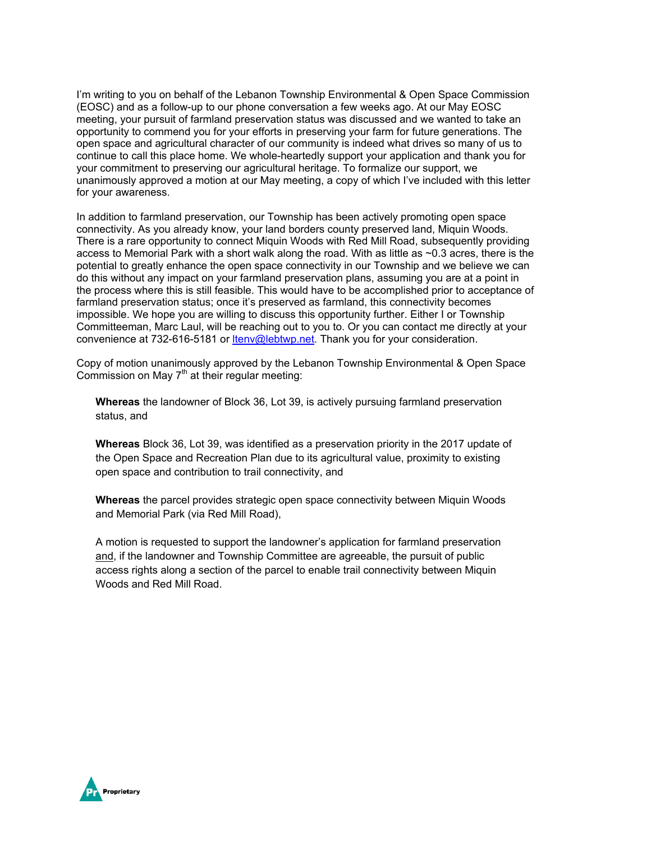I'm writing to you on behalf of the Lebanon Township Environmental & Open Space Commission (EOSC) and as a follow-up to our phone conversation a few weeks ago. At our May EOSC meeting, your pursuit of farmland preservation status was discussed and we wanted to take an opportunity to commend you for your efforts in preserving your farm for future generations. The open space and agricultural character of our community is indeed what drives so many of us to continue to call this place home. We whole-heartedly support your application and thank you for your commitment to preserving our agricultural heritage. To formalize our support, we unanimously approved a motion at our May meeting, a copy of which I've included with this letter for your awareness.

In addition to farmland preservation, our Township has been actively promoting open space connectivity. As you already know, your land borders county preserved land, Miquin Woods. There is a rare opportunity to connect Miquin Woods with Red Mill Road, subsequently providing access to Memorial Park with a short walk along the road. With as little as ~0.3 acres, there is the potential to greatly enhance the open space connectivity in our Township and we believe we can do this without any impact on your farmland preservation plans, assuming you are at a point in the process where this is still feasible. This would have to be accomplished prior to acceptance of farmland preservation status; once it's preserved as farmland, this connectivity becomes impossible. We hope you are willing to discuss this opportunity further. Either I or Township Committeeman, Marc Laul, will be reaching out to you to. Or you can contact me directly at your convenience at 732-616-5181 or ltenv@lebtwp.net. Thank you for your consideration.

Copy of motion unanimously approved by the Lebanon Township Environmental & Open Space Commission on May  $7<sup>th</sup>$  at their regular meeting:

**Whereas** the landowner of Block 36, Lot 39, is actively pursuing farmland preservation status, and

**Whereas** Block 36, Lot 39, was identified as a preservation priority in the 2017 update of the Open Space and Recreation Plan due to its agricultural value, proximity to existing open space and contribution to trail connectivity, and

**Whereas** the parcel provides strategic open space connectivity between Miquin Woods and Memorial Park (via Red Mill Road),

A motion is requested to support the landowner's application for farmland preservation and, if the landowner and Township Committee are agreeable, the pursuit of public access rights along a section of the parcel to enable trail connectivity between Miquin Woods and Red Mill Road.

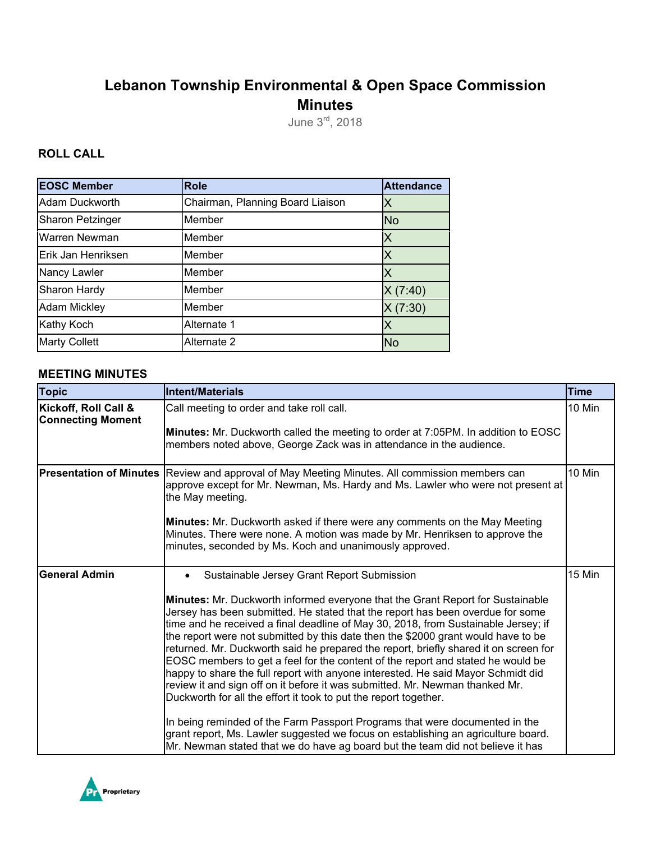# **Lebanon Township Environmental & Open Space Commission Minutes**

June 3rd, 2018

### **ROLL CALL**

| <b>EOSC Member</b>      | <b>Role</b>                      | <b>Attendance</b> |
|-------------------------|----------------------------------|-------------------|
| Adam Duckworth          | Chairman, Planning Board Liaison | Χ                 |
| <b>Sharon Petzinger</b> | Member                           | <b>No</b>         |
| Warren Newman           | Member                           | Χ                 |
| Erik Jan Henriksen      | Member                           | Χ                 |
| Nancy Lawler            | Member                           |                   |
| Sharon Hardy            | Member                           | X(7:40)           |
| <b>Adam Mickley</b>     | Member                           | X(7:30)           |
| Kathy Koch              | Alternate 1                      | Х                 |
| <b>Marty Collett</b>    | Alternate 2                      | <b>No</b>         |

#### **MEETING MINUTES**

| <b>Topic</b>                                     | Intent/Materials                                                                                                                                                                                                                                                                                                                                                                                                                                                                                                                                                                                                                                                                                                                                                                                                                                                                                                                                                                                                                                                   | <b>Time</b> |
|--------------------------------------------------|--------------------------------------------------------------------------------------------------------------------------------------------------------------------------------------------------------------------------------------------------------------------------------------------------------------------------------------------------------------------------------------------------------------------------------------------------------------------------------------------------------------------------------------------------------------------------------------------------------------------------------------------------------------------------------------------------------------------------------------------------------------------------------------------------------------------------------------------------------------------------------------------------------------------------------------------------------------------------------------------------------------------------------------------------------------------|-------------|
| Kickoff, Roll Call &<br><b>Connecting Moment</b> | Call meeting to order and take roll call.<br>Minutes: Mr. Duckworth called the meeting to order at 7:05PM. In addition to EOSC<br>members noted above, George Zack was in attendance in the audience.                                                                                                                                                                                                                                                                                                                                                                                                                                                                                                                                                                                                                                                                                                                                                                                                                                                              | 10 Min      |
| <b>Presentation of Minutes</b>                   | Review and approval of May Meeting Minutes. All commission members can<br>approve except for Mr. Newman, Ms. Hardy and Ms. Lawler who were not present at<br>the May meeting.<br><b>Minutes:</b> Mr. Duckworth asked if there were any comments on the May Meeting<br>Minutes. There were none. A motion was made by Mr. Henriksen to approve the<br>minutes, seconded by Ms. Koch and unanimously approved.                                                                                                                                                                                                                                                                                                                                                                                                                                                                                                                                                                                                                                                       | 10 Min      |
| <b>General Admin</b>                             | Sustainable Jersey Grant Report Submission<br>Minutes: Mr. Duckworth informed everyone that the Grant Report for Sustainable<br>Jersey has been submitted. He stated that the report has been overdue for some<br>time and he received a final deadline of May 30, 2018, from Sustainable Jersey; if<br>the report were not submitted by this date then the \$2000 grant would have to be<br>returned. Mr. Duckworth said he prepared the report, briefly shared it on screen for<br>EOSC members to get a feel for the content of the report and stated he would be<br>happy to share the full report with anyone interested. He said Mayor Schmidt did<br>review it and sign off on it before it was submitted. Mr. Newman thanked Mr.<br>Duckworth for all the effort it took to put the report together.<br>In being reminded of the Farm Passport Programs that were documented in the<br>grant report, Ms. Lawler suggested we focus on establishing an agriculture board.<br>Mr. Newman stated that we do have ag board but the team did not believe it has | 15 Min      |

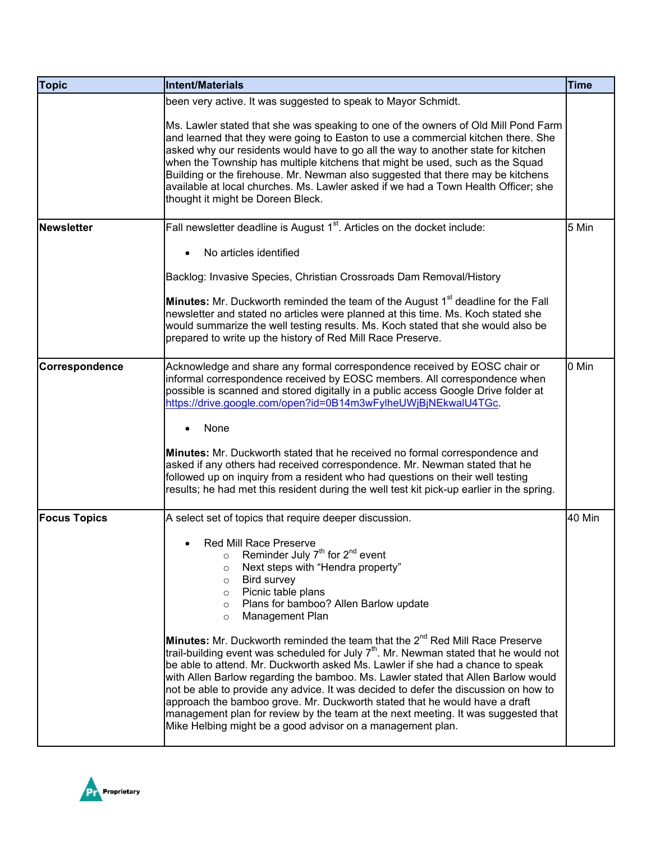| <b>Topic</b>        | Intent/Materials                                                                                                                                                                                                                                                                                                                                                                                                                                                                                                                                                                | <b>Time</b> |
|---------------------|---------------------------------------------------------------------------------------------------------------------------------------------------------------------------------------------------------------------------------------------------------------------------------------------------------------------------------------------------------------------------------------------------------------------------------------------------------------------------------------------------------------------------------------------------------------------------------|-------------|
|                     | been very active. It was suggested to speak to Mayor Schmidt.                                                                                                                                                                                                                                                                                                                                                                                                                                                                                                                   |             |
|                     | Ms. Lawler stated that she was speaking to one of the owners of Old Mill Pond Farm<br>and learned that they were going to Easton to use a commercial kitchen there. She<br>asked why our residents would have to go all the way to another state for kitchen<br>when the Township has multiple kitchens that might be used, such as the Squad<br>Building or the firehouse. Mr. Newman also suggested that there may be kitchens<br>available at local churches. Ms. Lawler asked if we had a Town Health Officer; she<br>thought it might be Doreen Bleck.                     |             |
| <b>Newsletter</b>   | Fall newsletter deadline is August 1 <sup>st</sup> . Articles on the docket include:                                                                                                                                                                                                                                                                                                                                                                                                                                                                                            | 5 Min       |
|                     | No articles identified                                                                                                                                                                                                                                                                                                                                                                                                                                                                                                                                                          |             |
|                     | Backlog: Invasive Species, Christian Crossroads Dam Removal/History                                                                                                                                                                                                                                                                                                                                                                                                                                                                                                             |             |
|                     | Minutes: Mr. Duckworth reminded the team of the August 1 <sup>st</sup> deadline for the Fall<br>newsletter and stated no articles were planned at this time. Ms. Koch stated she<br>would summarize the well testing results. Ms. Koch stated that she would also be<br>prepared to write up the history of Red Mill Race Preserve.                                                                                                                                                                                                                                             |             |
| Correspondence      | Acknowledge and share any formal correspondence received by EOSC chair or<br>informal correspondence received by EOSC members. All correspondence when<br>possible is scanned and stored digitally in a public access Google Drive folder at<br>https://drive.google.com/open?id=0B14m3wFylheUWjBjNEkwalU4TGc.                                                                                                                                                                                                                                                                  | 0 Min       |
|                     | None                                                                                                                                                                                                                                                                                                                                                                                                                                                                                                                                                                            |             |
|                     | Minutes: Mr. Duckworth stated that he received no formal correspondence and<br>asked if any others had received correspondence. Mr. Newman stated that he<br>followed up on inquiry from a resident who had questions on their well testing<br>results; he had met this resident during the well test kit pick-up earlier in the spring.                                                                                                                                                                                                                                        |             |
| <b>Focus Topics</b> | A select set of topics that require deeper discussion.                                                                                                                                                                                                                                                                                                                                                                                                                                                                                                                          | 40 Min      |
|                     | Red Mill Race Preserve<br>$\bullet$<br>Reminder July 7 <sup>th</sup> for 2 <sup>nd</sup> event<br>$\circ$<br>Next steps with "Hendra property"<br>$\circ$<br>Bird survey<br>$\circ$<br>Picnic table plans<br>$\circ$<br>Plans for bamboo? Allen Barlow update<br>$\circ$<br>Management Plan<br>$\circ$<br>Minutes: Mr. Duckworth reminded the team that the 2 <sup>nd</sup> Red Mill Race Preserve<br>trail-building event was scheduled for July $7th$ . Mr. Newman stated that he would not<br>be able to attend. Mr. Duckworth asked Ms. Lawler if she had a chance to speak |             |
|                     | with Allen Barlow regarding the bamboo. Ms. Lawler stated that Allen Barlow would<br>not be able to provide any advice. It was decided to defer the discussion on how to<br>approach the bamboo grove. Mr. Duckworth stated that he would have a draft<br>management plan for review by the team at the next meeting. It was suggested that<br>Mike Helbing might be a good advisor on a management plan.                                                                                                                                                                       |             |